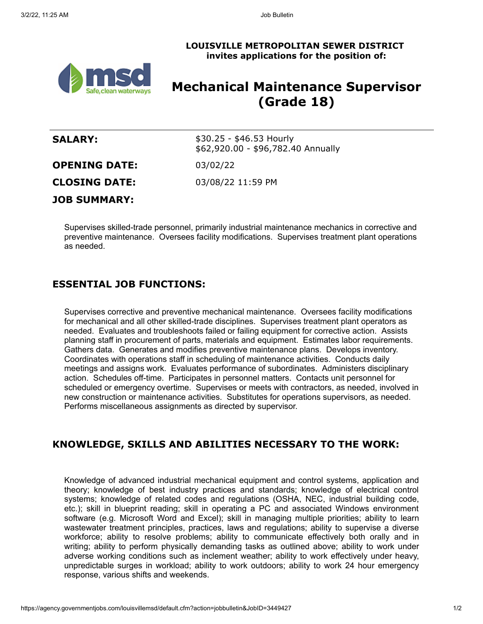**LOUISVILLE METROPOLITAN SEWER DISTRICT invites applications for the position of:**



# **Mechanical Maintenance Supervisor (Grade 18)**

| <b>SALARY:</b>       | $$30.25 - $46.53$ Hourly<br>\$62,920.00 - \$96,782.40 Annually |
|----------------------|----------------------------------------------------------------|
| <b>OPENING DATE:</b> | 03/02/22                                                       |
| <b>CLOSING DATE:</b> | 03/08/22 11:59 PM                                              |
| <b>JOB SUMMARY:</b>  |                                                                |

Supervises skilled-trade personnel, primarily industrial maintenance mechanics in corrective and preventive maintenance. Oversees facility modifications. Supervises treatment plant operations as needed.

## **ESSENTIAL JOB FUNCTIONS:**

Supervises corrective and preventive mechanical maintenance. Oversees facility modifications for mechanical and all other skilled-trade disciplines. Supervises treatment plant operators as needed. Evaluates and troubleshoots failed or failing equipment for corrective action. Assists planning staff in procurement of parts, materials and equipment. Estimates labor requirements. Gathers data. Generates and modifies preventive maintenance plans. Develops inventory. Coordinates with operations staff in scheduling of maintenance activities. Conducts daily meetings and assigns work. Evaluates performance of subordinates. Administers disciplinary action. Schedules off-time. Participates in personnel matters. Contacts unit personnel for scheduled or emergency overtime. Supervises or meets with contractors, as needed, involved in new construction or maintenance activities. Substitutes for operations supervisors, as needed. Performs miscellaneous assignments as directed by supervisor.

# **KNOWLEDGE, SKILLS AND ABILITIES NECESSARY TO THE WORK:**

Knowledge of advanced industrial mechanical equipment and control systems, application and theory; knowledge of best industry practices and standards; knowledge of electrical control systems; knowledge of related codes and regulations (OSHA, NEC, industrial building code, etc.); skill in blueprint reading; skill in operating a PC and associated Windows environment software (e.g. Microsoft Word and Excel); skill in managing multiple priorities; ability to learn wastewater treatment principles, practices, laws and regulations; ability to supervise a diverse workforce; ability to resolve problems; ability to communicate effectively both orally and in writing; ability to perform physically demanding tasks as outlined above; ability to work under adverse working conditions such as inclement weather; ability to work effectively under heavy, unpredictable surges in workload; ability to work outdoors; ability to work 24 hour emergency response, various shifts and weekends.